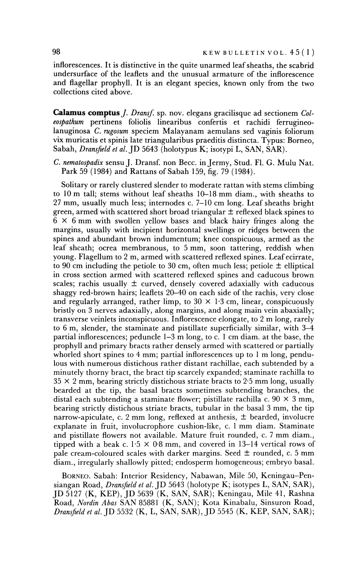**inflorescences. It is distinctive in the quite unarmed leaf sheaths, the scabrid undersurface of the leaflets and the unusual armature of the inflorescence and flagellar prophyll. It is an elegant species, known only from the two collections cited above.** 

**Calamus comptus J. Dransf. sp. nov. elegans gracilisque ad sectionem Coleospathum pertinens foliolis linearibus confertis et rachidi ferrugineolanuginosa C. rugosum speciem Malayanam aemulans sed vaginis foliorum vix muricatis et spinis late triangularibus praeditis distincta. Typus: Borneo, Sabah, Dransfield et al. JD 5643 (holotypus K; isotypi L, SAN, SAR).** 

**C. nematospadix sensu J. Dransf. non Becc. in Jermy, Stud. Fl. G. Mulu Nat. Park 59 (1984) and Rattans of Sabah 159, fig. 79 (1984).** 

**Solitary or rarely clustered slender to moderate rattan with stems climbing to 10 m tall; stems without leaf sheaths 10-18 mm diam., with sheaths to 27 mm, usually much less; internodes c. 7-10 cm long. Leaf sheaths bright green, armed with scattered short broad triangular ? reflexed black spines to 6 x 6 mm with swollen yellow bases and black hairy fringes along the margins, usually with incipient horizontal swellings or ridges between the spines and abundant brown indumentum; knee conspicuous, armed as the leaf sheath; ocrea membranous, to 5 mm, soon tattering, reddish when young. Flagellum to 2 m, armed with scattered reflexed spines. Leafecirrate,**  to 90 cm including the petiole to 30 cm, often much less; petiole  $\pm$  elliptical **in cross section armed with scattered reflexed spines and caducous brown**  scales; rachis usually  $\pm$  curved, densely covered adaxially with caducous **shaggy red-brown hairs; leaflets 20-40 on each side of the rachis, very close**  and regularly arranged, rather limp, to  $30 \times 1.3$  cm, linear, conspicuously **bristly on 3 nerves adaxially, along margins, and along main vein abaxially; transverse veinlets inconspicuous. Inflorescence elongate, to 2 m long, rarely to 6 m, slender, the staminate and pistillate superficially similar, with 3-4 partial inflorescences; peduncle 1-3 m long, to c. 1 cm diam. at the base, the prophyll and primary bracts rather densely armed with scattered or partially whorled short spines to 4 mm; partial inflorescences up to 1 m long, pendulous with numerous distichous rather distant rachillae, each subtended by a minutely thorny bract, the bract tip scarcely expanded; staminate rachilla to 35 x 2 mm, bearing strictly distichous striate bracts to 2-5 mm long, usually bearded at the tip, the basal bracts sometimes subtending branches, the**  distal each subtending a staminate flower; pistillate rachilla c.  $90 \times 3$  mm, **bearing strictly distichous striate bracts, tubular in the basal 3 mm, the tip narrow-apiculate, c. 2 mm long, reflexed at anthesis, + bearded, involucre explanate in fruit, involucrophore cushion-like, c. 1 mm diam. Staminate and pistillate flowers not available. Mature fruit rounded, c. 7 mm diam.,**  tipped with a beak c.  $1.5 \times 0.8$  mm, and covered in 13-14 vertical rows of pale cream-coloured scales with darker margins. Seed  $\pm$  rounded, c. 5 mm **diam., irregularly shallowly pitted; endosperm homogeneous; embryo basal.** 

**BORNEO. Sabah: Interior Residency, Nabawan, Mile 50, Keningau-Pensiangan Road, Dransfield et al. JD 5643 (holotype K; isotypes L, SAN, SAR), JD 5127 (K, KEP), JD 5639 (K, SAN, SAR); Keningau, Mile 41, Rashna Road, Nordin Abas SAN 85881 (K, SAN); Kota Kinabalu, Sinsuron Road, Dransfield et al. JD 5532 (K, L, SAN, SAR), JD 5545 (K, KEP, SAN, SAR);**